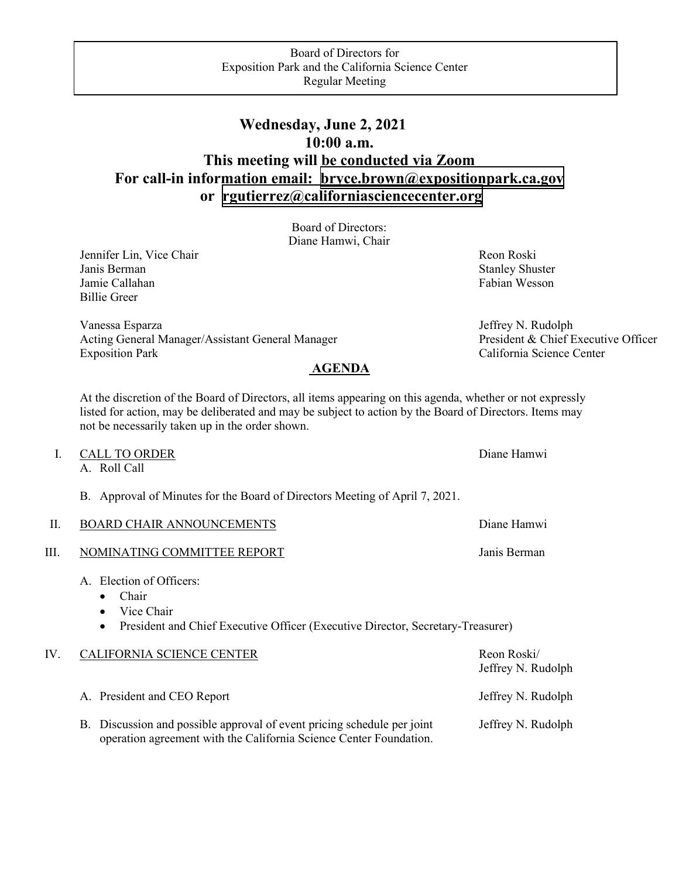## **or [rgutierrez@californiasciencecenter.org](mailto:rgutierrez@californiasciencecenter.org)  Wednesday, June 2, 2021 10:00 a.m. This meeting will be conducted via Zoom For call-in information email: [bryce.brown@expositionpark.ca.gov](mailto:bryce.brown@expositionpark.ca.gov)**

Board of Directors: Diane Hamwi, Chair

Jennifer Lin, Vice Chair Revenue and The Reon Roski Janis Berman Stanley Shuster Shuster Shuster Shuster Shuster Shuster Shuster Jamie Callahan Fabian Wesson Fabian Wesson Billie Greer

Vanessa Esparza<br>
Acting General Manager/Assistant General Manager<br>
President & Chief Executive Officer Acting General Manager/Assistant General Manager Exposition Park California Science Center

## **AGENDA**

At the discretion of the Board of Directors, all items appearing on this agenda, whether or not expressly listed for action, may be deliberated and may be subject to action by the Board of Directors. Items may not be necessarily taken up in the order shown.

|      | <b>CALL TO ORDER</b><br>A. Roll Call                                                                                                                                      | Diane Hamwi  |
|------|---------------------------------------------------------------------------------------------------------------------------------------------------------------------------|--------------|
|      | B. Approval of Minutes for the Board of Directors Meeting of April 7, 2021.                                                                                               |              |
| II.  | <b>BOARD CHAIR ANNOUNCEMENTS</b>                                                                                                                                          | Diane Hamwi  |
| III. | NOMINATING COMMITTEE REPORT                                                                                                                                               | Janis Berman |
|      | A. Election of Officers:<br>Chair<br>$\bullet$<br>Vice Chair<br>$\bullet$<br>President and Chief Executive Officer (Executive Director, Secretary-Treasurer)<br>$\bullet$ |              |

| IV. | CALIFORNIA SCIENCE CENTER                                                                                                                     | Reon Roski/<br>Jeffrey N. Rudolph |
|-----|-----------------------------------------------------------------------------------------------------------------------------------------------|-----------------------------------|
|     | A. President and CEO Report                                                                                                                   | Jeffrey N. Rudolph                |
|     | B. Discussion and possible approval of event pricing schedule per joint<br>operation agreement with the California Science Center Foundation. | Jeffrey N. Rudolph                |